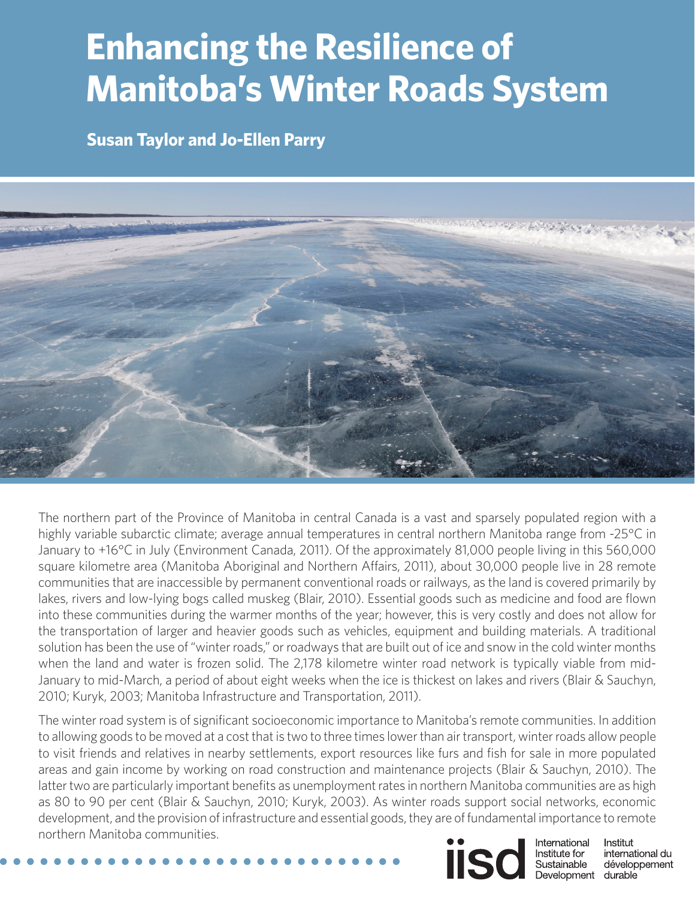# **Enhancing the Resilience of Manitoba's Winter Roads System**

**Susan Taylor and Jo-Ellen Parry**



The northern part of the Province of Manitoba in central Canada is a vast and sparsely populated region with a highly variable subarctic climate; average annual temperatures in central northern Manitoba range from -25°C in January to +16°C in July (Environment Canada, 2011). Of the approximately 81,000 people living in this 560,000 square kilometre area (Manitoba Aboriginal and Northern Affairs, 2011), about 30,000 people live in 28 remote communities that are inaccessible by permanent conventional roads or railways, as the land is covered primarily by lakes, rivers and low-lying bogs called muskeg (Blair, 2010). Essential goods such as medicine and food are flown into these communities during the warmer months of the year; however, this is very costly and does not allow for the transportation of larger and heavier goods such as vehicles, equipment and building materials. A traditional solution has been the use of "winter roads," or roadways that are built out of ice and snow in the cold winter months when the land and water is frozen solid. The 2,178 kilometre winter road network is typically viable from mid-January to mid-March, a period of about eight weeks when the ice is thickest on lakes and rivers (Blair & Sauchyn, 2010; Kuryk, 2003; Manitoba Infrastructure and Transportation, 2011).

**<www.iisd.org> © 2014 The International Institute for Sustainable Development** The winter road system is of significant socioeconomic importance to Manitoba's remote communities. In addition to allowing goods to be moved at a cost that is two to three times lower than air transport, winter roads allow people to visit friends and relatives in nearby settlements, export resources like furs and fish for sale in more populated areas and gain income by working on road construction and maintenance projects (Blair & Sauchyn, 2010). The latter two are particularly important benefits as unemployment rates in northern Manitoba communities are as high as 80 to 90 per cent (Blair & Sauchyn, 2010; Kuryk, 2003). As winter roads support social networks, economic development, and the provision of infrastructure and essential goods, they are of fundamental importance to remote northern Manitoba communities.



Institut international du Sustainable développement Development durable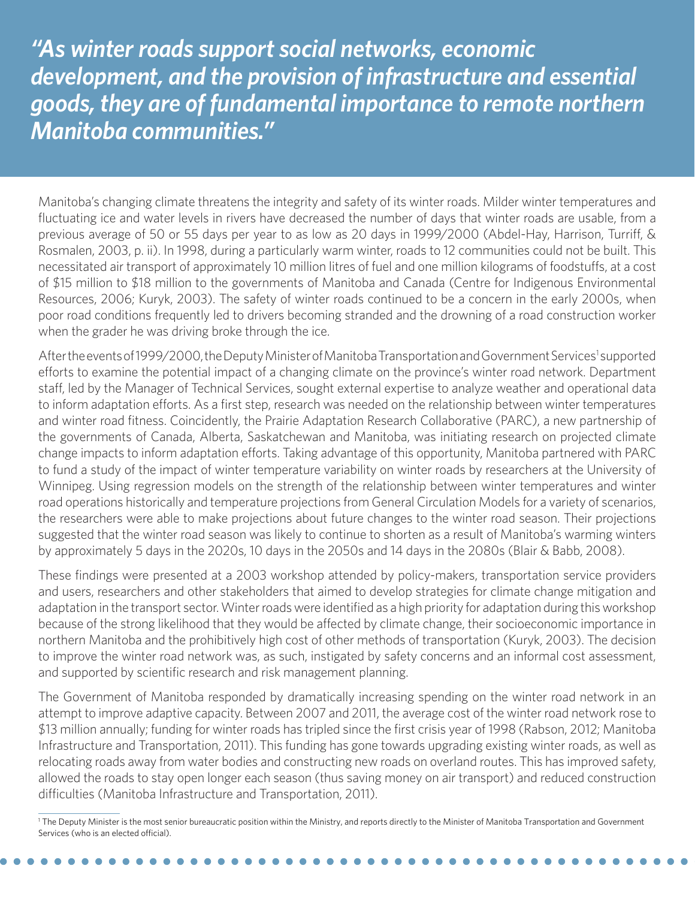*"As winter roads support social networks, economic development, and the provision of infrastructure and essential goods, they are of fundamental importance to remote northern Manitoba communities."*

Manitoba's changing climate threatens the integrity and safety of its winter roads. Milder winter temperatures and fluctuating ice and water levels in rivers have decreased the number of days that winter roads are usable, from a previous average of 50 or 55 days per year to as low as 20 days in 1999/2000 (Abdel-Hay, Harrison, Turriff, & Rosmalen, 2003, p. ii). In 1998, during a particularly warm winter, roads to 12 communities could not be built. This necessitated air transport of approximately 10 million litres of fuel and one million kilograms of foodstuffs, at a cost of \$15 million to \$18 million to the governments of Manitoba and Canada (Centre for Indigenous Environmental Resources, 2006; Kuryk, 2003). The safety of winter roads continued to be a concern in the early 2000s, when poor road conditions frequently led to drivers becoming stranded and the drowning of a road construction worker when the grader he was driving broke through the ice.

After the events of 1999/2000, the Deputy Minister of Manitoba Transportation and Government Services<sup>1</sup> supported efforts to examine the potential impact of a changing climate on the province's winter road network. Department staff, led by the Manager of Technical Services, sought external expertise to analyze weather and operational data to inform adaptation efforts. As a first step, research was needed on the relationship between winter temperatures and winter road fitness. Coincidently, the Prairie Adaptation Research Collaborative (PARC), a new partnership of the governments of Canada, Alberta, Saskatchewan and Manitoba, was initiating research on projected climate change impacts to inform adaptation efforts. Taking advantage of this opportunity, Manitoba partnered with PARC to fund a study of the impact of winter temperature variability on winter roads by researchers at the University of Winnipeg. Using regression models on the strength of the relationship between winter temperatures and winter road operations historically and temperature projections from General Circulation Models for a variety of scenarios, the researchers were able to make projections about future changes to the winter road season. Their projections suggested that the winter road season was likely to continue to shorten as a result of Manitoba's warming winters by approximately 5 days in the 2020s, 10 days in the 2050s and 14 days in the 2080s (Blair & Babb, 2008).

These findings were presented at a 2003 workshop attended by policy-makers, transportation service providers and users, researchers and other stakeholders that aimed to develop strategies for climate change mitigation and adaptation in the transport sector. Winter roads were identified as a high priority for adaptation during this workshop because of the strong likelihood that they would be affected by climate change, their socioeconomic importance in northern Manitoba and the prohibitively high cost of other methods of transportation (Kuryk, 2003). The decision to improve the winter road network was, as such, instigated by safety concerns and an informal cost assessment, and supported by scientific research and risk management planning.

The Government of Manitoba responded by dramatically increasing spending on the winter road network in an attempt to improve adaptive capacity. Between 2007 and 2011, the average cost of the winter road network rose to \$13 million annually; funding for winter roads has tripled since the first crisis year of 1998 (Rabson, 2012; Manitoba Infrastructure and Transportation, 2011). This funding has gone towards upgrading existing winter roads, as well as relocating roads away from water bodies and constructing new roads on overland routes. This has improved safety, allowed the roads to stay open longer each season (thus saving money on air transport) and reduced construction difficulties (Manitoba Infrastructure and Transportation, 2011).

<sup>1</sup> The Deputy Minister is the most senior bureaucratic position within the Ministry, and reports directly to the Minister of Manitoba Transportation and Government Services (who is an elected official).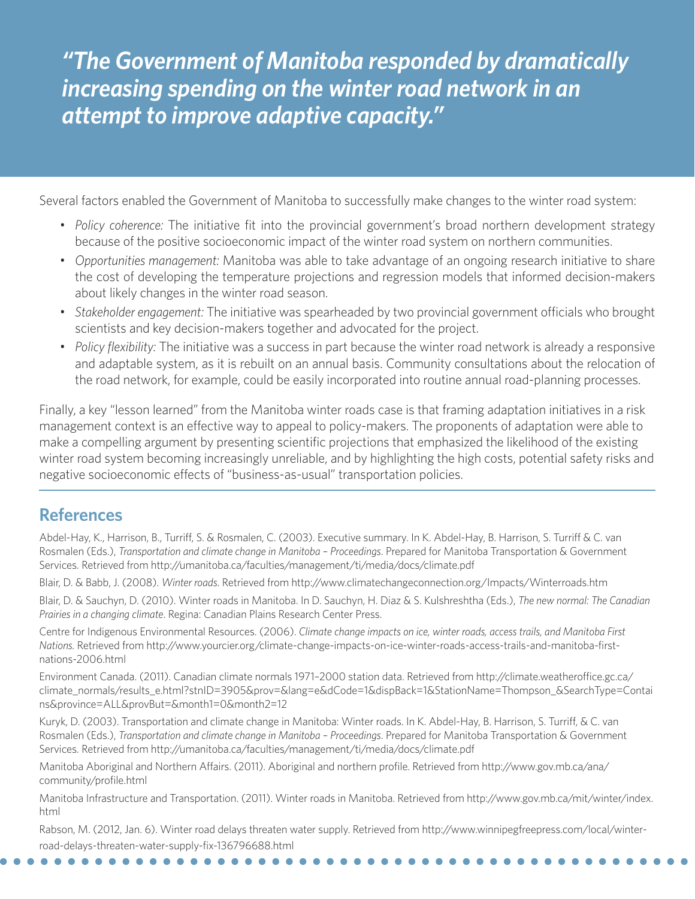*"The Government of Manitoba responded by dramatically increasing spending on the winter road network in an attempt to improve adaptive capacity."*

Several factors enabled the Government of Manitoba to successfully make changes to the winter road system:

- *• Policy coherence:* The initiative fit into the provincial government's broad northern development strategy because of the positive socioeconomic impact of the winter road system on northern communities.
- *• Opportunities management:* Manitoba was able to take advantage of an ongoing research initiative to share the cost of developing the temperature projections and regression models that informed decision-makers about likely changes in the winter road season.
- *• Stakeholder engagement:* The initiative was spearheaded by two provincial government officials who brought scientists and key decision-makers together and advocated for the project.
- *• Policy flexibility:* The initiative was a success in part because the winter road network is already a responsive and adaptable system, as it is rebuilt on an annual basis. Community consultations about the relocation of the road network, for example, could be easily incorporated into routine annual road-planning processes.

Finally, a key "lesson learned" from the Manitoba winter roads case is that framing adaptation initiatives in a risk management context is an effective way to appeal to policy-makers. The proponents of adaptation were able to make a compelling argument by presenting scientific projections that emphasized the likelihood of the existing winter road system becoming increasingly unreliable, and by highlighting the high costs, potential safety risks and negative socioeconomic effects of "business-as-usual" transportation policies.

## **References**

Abdel-Hay, K., Harrison, B., Turriff, S. & Rosmalen, C. (2003). Executive summary. In K. Abdel-Hay, B. Harrison, S. Turriff & C. van Rosmalen (Eds.), *Transportation and climate change in Manitoba – Proceedings*. Prepared for Manitoba Transportation & Government Services. Retrieved from<http://umanitoba.ca/faculties/management/ti/media/docs/climate.pdf>

Blair, D. & Babb, J. (2008). *Winter roads*. Retrieved from <http://www.climatechangeconnection.org/Impacts/Winterroads.htm>

Blair, D. & Sauchyn, D. (2010). Winter roads in Manitoba. In D. Sauchyn, H. Diaz & S. Kulshreshtha (Eds.), *The new normal: The Canadian Prairies in a changing climate*. Regina: Canadian Plains Research Center Press.

Centre for Indigenous Environmental Resources. (2006). *Climate change impacts on ice, winter roads, access trails, and Manitoba First Nations.* Retrieved from [http://www.yourcier.org/climate-change-impacts-on-ice-winter-roads-access-trails-and-manitoba-first](http://www.yourcier.org/climate-change-impacts-on-ice-winter-roads-access-trails-and-manitoba-first-nations-2006.html)[nations-2006.html](http://www.yourcier.org/climate-change-impacts-on-ice-winter-roads-access-trails-and-manitoba-first-nations-2006.html)

Environment Canada. (2011). Canadian climate normals 1971–2000 station data. Retrieved from [http://climate.weatheroffice.gc.ca/](http://climate.weatheroffice.gc.ca/climate_normals/results_e.html?stnID=3905&prov=&lang=e&dCode=1&dispBack=1&StationName=Thompson_&SearchType=Contains&province=ALL&provBut=&month1=0&month2=12) [climate\\_normals/results\\_e.html?stnID=3905&prov=&lang=e&dCode=1&dispBack=1&StationName=Thompson\\_&SearchType=Contai](http://climate.weatheroffice.gc.ca/climate_normals/results_e.html?stnID=3905&prov=&lang=e&dCode=1&dispBack=1&StationName=Thompson_&SearchType=Contains&province=ALL&provBut=&month1=0&month2=12) [ns&province=ALL&provBut=&month1=0&month2=12](http://climate.weatheroffice.gc.ca/climate_normals/results_e.html?stnID=3905&prov=&lang=e&dCode=1&dispBack=1&StationName=Thompson_&SearchType=Contains&province=ALL&provBut=&month1=0&month2=12)

Kuryk, D. (2003). Transportation and climate change in Manitoba: Winter roads. In K. Abdel-Hay, B. Harrison, S. Turriff, & C. van Rosmalen (Eds.), *Transportation and climate change in Manitoba – Proceedings*. Prepared for Manitoba Transportation & Government Services. Retrieved from<http://umanitoba.ca/faculties/management/ti/media/docs/climate.pdf>

Manitoba Aboriginal and Northern Affairs. (2011). Aboriginal and northern profile. Retrieved from [http://www.gov.mb.ca/ana/](http://www.gov.mb.ca/ana/community/profile.html) [community/profile.html](http://www.gov.mb.ca/ana/community/profile.html)

Manitoba Infrastructure and Transportation. (2011). Winter roads in Manitoba. Retrieved from [http://www.gov.mb.ca/mit/winter/index.](http://www.gov.mb.ca/mit/winter/index.html) [html](http://www.gov.mb.ca/mit/winter/index.html)

Rabson, M. (2012, Jan. 6). Winter road delays threaten water supply. Retrieved from [http://www.winnipegfreepress.com/local/winter](http://www.winnipegfreepress.com/local/winter-road-delays-threaten-water-supply-fix-136796688.html)[road-delays-threaten-water-supply-fix-136796688.html](http://www.winnipegfreepress.com/local/winter-road-delays-threaten-water-supply-fix-136796688.html)